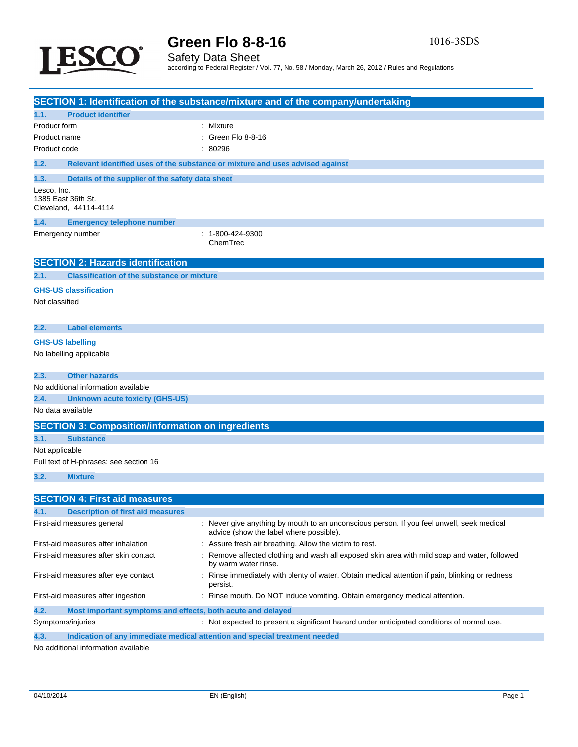



## Safety Data Sheet according to Federal Register / Vol. 77, No. 58 / Monday, March 26, 2012 / Rules and Regulations

|                                                                     | <b>SECTION 1: Identification of the substance/mixture and of the company/undertaking</b>                                             |
|---------------------------------------------------------------------|--------------------------------------------------------------------------------------------------------------------------------------|
| <b>Product identifier</b><br>1.1.                                   |                                                                                                                                      |
| Product form                                                        | : Mixture                                                                                                                            |
| Product name                                                        | Green Flo 8-8-16                                                                                                                     |
| Product code                                                        | : 80296                                                                                                                              |
| 1.2.                                                                | Relevant identified uses of the substance or mixture and uses advised against                                                        |
| 1.3.<br>Details of the supplier of the safety data sheet            |                                                                                                                                      |
| Lesco, Inc.<br>1385 East 36th St.<br>Cleveland, 44114-4114          |                                                                                                                                      |
| 1.4.<br><b>Emergency telephone number</b>                           |                                                                                                                                      |
| Emergency number                                                    | : 1-800-424-9300<br>ChemTrec                                                                                                         |
| <b>SECTION 2: Hazards identification</b>                            |                                                                                                                                      |
| <b>Classification of the substance or mixture</b><br>2.1.           |                                                                                                                                      |
| <b>GHS-US classification</b>                                        |                                                                                                                                      |
| Not classified                                                      |                                                                                                                                      |
|                                                                     |                                                                                                                                      |
| 2.2.<br><b>Label elements</b>                                       |                                                                                                                                      |
| <b>GHS-US labelling</b>                                             |                                                                                                                                      |
| No labelling applicable                                             |                                                                                                                                      |
|                                                                     |                                                                                                                                      |
| 2.3.<br><b>Other hazards</b><br>No additional information available |                                                                                                                                      |
| 2.4.<br><b>Unknown acute toxicity (GHS-US)</b>                      |                                                                                                                                      |
| No data available                                                   |                                                                                                                                      |
|                                                                     |                                                                                                                                      |
| <b>SECTION 3: Composition/information on ingredients</b>            |                                                                                                                                      |
| <b>Substance</b><br>3.1.<br>Not applicable                          |                                                                                                                                      |
| Full text of H-phrases: see section 16                              |                                                                                                                                      |
|                                                                     |                                                                                                                                      |
| 3.2.<br><b>Mixture</b>                                              |                                                                                                                                      |
| <b>SECTION 4: First aid measures</b>                                |                                                                                                                                      |
| 4.1.<br><b>Description of first aid measures</b>                    |                                                                                                                                      |
| First-aid measures general                                          | : Never give anything by mouth to an unconscious person. If you feel unwell, seek medical<br>advice (show the label where possible). |
| First-aid measures after inhalation                                 | Assure fresh air breathing. Allow the victim to rest.                                                                                |
| First-aid measures after skin contact                               | Remove affected clothing and wash all exposed skin area with mild soap and water, followed<br>by warm water rinse.                   |
| First-aid measures after eye contact                                | : Rinse immediately with plenty of water. Obtain medical attention if pain, blinking or redness<br>persist.                          |
| First-aid measures after ingestion                                  | : Rinse mouth. Do NOT induce vomiting. Obtain emergency medical attention.                                                           |
| 4.2.<br>Most important symptoms and effects, both acute and delayed |                                                                                                                                      |
| Symptoms/injuries                                                   | : Not expected to present a significant hazard under anticipated conditions of normal use.                                           |
| 4.3.                                                                | Indication of any immediate medical attention and special treatment needed                                                           |

No additional information available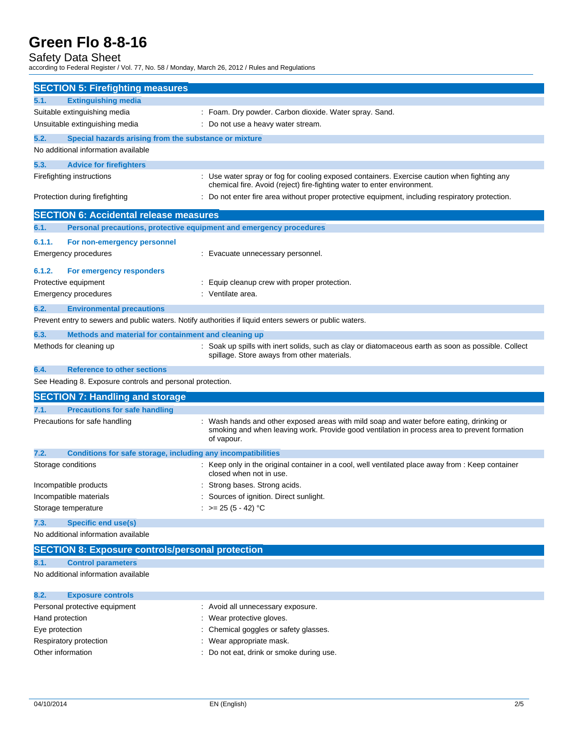Safety Data Sheet according to Federal Register / Vol. 77, No. 58 / Monday, March 26, 2012 / Rules and Regulations

| <b>SECTION 5: Firefighting measures</b>                              |                                                                                                                                                                                                      |
|----------------------------------------------------------------------|------------------------------------------------------------------------------------------------------------------------------------------------------------------------------------------------------|
| <b>Extinguishing media</b><br>5.1.                                   |                                                                                                                                                                                                      |
| Suitable extinguishing media                                         | : Foam. Dry powder. Carbon dioxide. Water spray. Sand.                                                                                                                                               |
| Unsuitable extinguishing media                                       | : Do not use a heavy water stream.                                                                                                                                                                   |
| 5.2.<br>Special hazards arising from the substance or mixture        |                                                                                                                                                                                                      |
| No additional information available                                  |                                                                                                                                                                                                      |
| 5.3.<br><b>Advice for firefighters</b>                               |                                                                                                                                                                                                      |
| Firefighting instructions                                            | : Use water spray or fog for cooling exposed containers. Exercise caution when fighting any<br>chemical fire. Avoid (reject) fire-fighting water to enter environment.                               |
| Protection during firefighting                                       | : Do not enter fire area without proper protective equipment, including respiratory protection.                                                                                                      |
| <b>SECTION 6: Accidental release measures</b>                        |                                                                                                                                                                                                      |
| 6.1.                                                                 | Personal precautions, protective equipment and emergency procedures                                                                                                                                  |
| 6.1.1.<br>For non-emergency personnel                                |                                                                                                                                                                                                      |
| Emergency procedures                                                 | : Evacuate unnecessary personnel.                                                                                                                                                                    |
|                                                                      |                                                                                                                                                                                                      |
| 6.1.2.<br>For emergency responders                                   |                                                                                                                                                                                                      |
| Protective equipment                                                 | : Equip cleanup crew with proper protection.                                                                                                                                                         |
| <b>Emergency procedures</b>                                          | : Ventilate area.                                                                                                                                                                                    |
| 6.2.<br><b>Environmental precautions</b>                             |                                                                                                                                                                                                      |
|                                                                      | Prevent entry to sewers and public waters. Notify authorities if liquid enters sewers or public waters.                                                                                              |
|                                                                      |                                                                                                                                                                                                      |
| 6.3.<br>Methods and material for containment and cleaning up         |                                                                                                                                                                                                      |
| Methods for cleaning up                                              | : Soak up spills with inert solids, such as clay or diatomaceous earth as soon as possible. Collect<br>spillage. Store aways from other materials.                                                   |
| 6.4.<br><b>Reference to other sections</b>                           |                                                                                                                                                                                                      |
| See Heading 8. Exposure controls and personal protection.            |                                                                                                                                                                                                      |
| <b>SECTION 7: Handling and storage</b>                               |                                                                                                                                                                                                      |
| <b>Precautions for safe handling</b><br>7.1.                         |                                                                                                                                                                                                      |
| Precautions for safe handling                                        | Wash hands and other exposed areas with mild soap and water before eating, drinking or<br>smoking and when leaving work. Provide good ventilation in process area to prevent formation<br>of vapour. |
| 7.2.<br>Conditions for safe storage, including any incompatibilities |                                                                                                                                                                                                      |
| Storage conditions                                                   | : Keep only in the original container in a cool, well ventilated place away from : Keep container<br>closed when not in use.                                                                         |
| Incompatible products                                                | Strong bases. Strong acids.                                                                                                                                                                          |
| Incompatible materials                                               | Sources of ignition. Direct sunlight.                                                                                                                                                                |
| Storage temperature                                                  | : $>= 25 (5 - 42) °C$                                                                                                                                                                                |
| <b>Specific end use(s)</b><br>7.3.                                   |                                                                                                                                                                                                      |
| No additional information available                                  |                                                                                                                                                                                                      |
| <b>SECTION 8: Exposure controls/personal protection</b>              |                                                                                                                                                                                                      |
| <b>Control parameters</b><br>8.1.                                    |                                                                                                                                                                                                      |
| No additional information available                                  |                                                                                                                                                                                                      |
| 8.2.<br><b>Exposure controls</b>                                     |                                                                                                                                                                                                      |
| Personal protective equipment                                        | : Avoid all unnecessary exposure.                                                                                                                                                                    |
| Hand protection                                                      | Wear protective gloves.                                                                                                                                                                              |

- Eye protection **Exercise Eye protection** : Chemical goggles or safety glasses.
- Respiratory protection **in the contract of the CO** is a Wear appropriate mask.
- Other information : Do not eat, drink or smoke during use.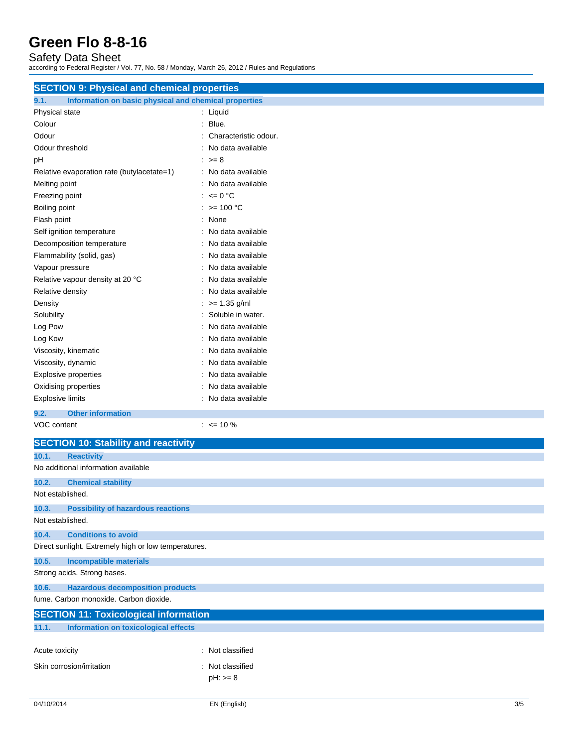Safety Data Sheet according to Federal Register / Vol. 77, No. 58 / Monday, March 26, 2012 / Rules and Regulations

| <b>SECTION 9: Physical and chemical properties</b>            |                           |  |
|---------------------------------------------------------------|---------------------------|--|
| Information on basic physical and chemical properties<br>9.1. |                           |  |
| Physical state                                                | : Liquid                  |  |
| Colour                                                        | : Blue.                   |  |
| Odour                                                         | Characteristic odour.     |  |
| Odour threshold                                               | No data available         |  |
| рH                                                            | $\therefore$ >= 8         |  |
| Relative evaporation rate (butylacetate=1)                    | : No data available       |  |
| Melting point                                                 | No data available         |  |
| Freezing point                                                | : $\leq 0$ °C             |  |
| Boiling point                                                 | : $> = 100 °C$            |  |
| Flash point                                                   | : None                    |  |
| Self ignition temperature                                     | No data available         |  |
| Decomposition temperature                                     | No data available         |  |
| Flammability (solid, gas)                                     | No data available         |  |
| Vapour pressure                                               | No data available         |  |
| Relative vapour density at 20 °C                              | No data available         |  |
| Relative density                                              | No data available         |  |
| Density                                                       | $\therefore$ >= 1.35 g/ml |  |
| Solubility                                                    | Soluble in water.         |  |
| Log Pow                                                       | No data available         |  |
| Log Kow                                                       | No data available         |  |
| Viscosity, kinematic                                          | No data available         |  |
| Viscosity, dynamic                                            | No data available         |  |
| <b>Explosive properties</b>                                   | No data available         |  |
| Oxidising properties                                          | No data available         |  |
| <b>Explosive limits</b>                                       | : No data available       |  |
| <b>Other information</b><br>9.2.                              |                           |  |
| VOC content                                                   | $: \le 10 \%$             |  |
| <b>SECTION 10: Stability and reactivity</b>                   |                           |  |
| 10.1.<br><b>Reactivity</b>                                    |                           |  |
| No additional information available                           |                           |  |
| 10.2.<br><b>Chemical stability</b><br>Not established.        |                           |  |
| 10.3.<br><b>Possibility of hazardous reactions</b>            |                           |  |
| Not established.                                              |                           |  |
| <b>Conditions to avoid</b><br>10.4.                           |                           |  |
| Direct sunlight. Extremely high or low temperatures.          |                           |  |
| 10.5.<br><b>Incompatible materials</b>                        |                           |  |
| Strong acids. Strong bases.                                   |                           |  |
| <b>Hazardous decomposition products</b><br>10.6.              |                           |  |
| fume. Carbon monoxide. Carbon dioxide.                        |                           |  |
| <b>SECTION 11: Toxicological information</b>                  |                           |  |
| 11.1.<br><b>Information on toxicological effects</b>          |                           |  |
| Acute toxicity                                                | : Not classified          |  |
| Skin corrosion/irritation                                     | : Not classified          |  |
|                                                               | $pH: z = 8$               |  |
|                                                               |                           |  |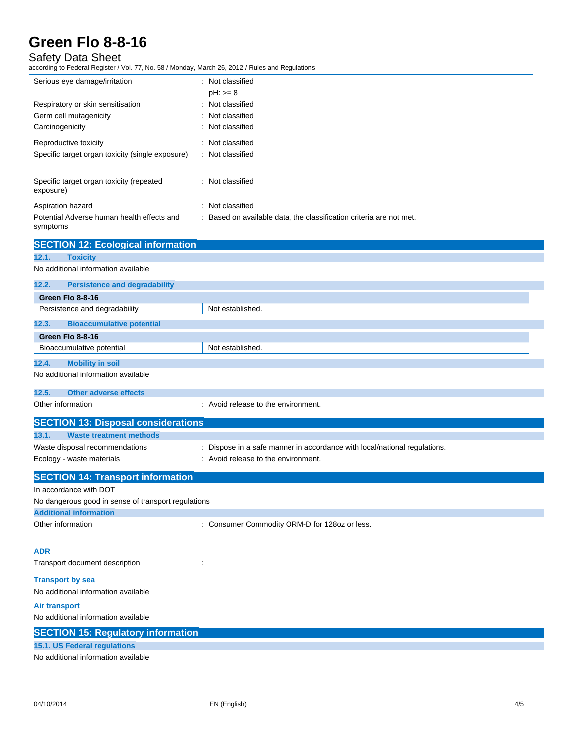### Safety Data Sheet

according to Federal Register / Vol. 77, No. 58 / Monday, March 26, 2012 / Rules and Regulations

| Serious eye damage/irritation                          | : Not classified                                                  |
|--------------------------------------------------------|-------------------------------------------------------------------|
|                                                        | $pH: z = 8$                                                       |
| Respiratory or skin sensitisation                      | : Not classified                                                  |
| Germ cell mutagenicity                                 | : Not classified                                                  |
| Carcinogenicity                                        | : Not classified                                                  |
| Reproductive toxicity                                  | Not classified                                                    |
| Specific target organ toxicity (single exposure)       | : Not classified                                                  |
| Specific target organ toxicity (repeated<br>exposure)  | : Not classified                                                  |
| Aspiration hazard                                      | : Not classified                                                  |
| Potential Adverse human health effects and<br>symptoms | Based on available data, the classification criteria are not met. |

### **SECTION 12: Ecological information 12.1. Toxicity** No additional information available **12.2. Persistence and degradability Green Flo 8-8-16** Persistence and degradability Not established. **12.3. Bioaccumulative potential Green Flo 8-8-16** Bioaccumulative potential Not established. **12.4. Mobility in soil** No additional information available **12.5. Other adverse effects** Other information **in the environment** of the environment. **SECTION 13: Disposal considerations 13.1. Waste treatment methods** Waste disposal recommendations : Dispose in a safe manner in accordance with local/national regulations. Ecology - waste materials **Ecology** - waste materials **interval** : Avoid release to the environment. **SECTION 14: Transport information** In accordance with DOT No dangerous good in sense of transport regulations **Additional information** Other information **Other information** : Consumer Commodity ORM-D for 128oz or less. **ADR** Transport document description : **Transport by sea** No additional information available **Air transport** No additional information available **SECTION 15: Regulatory information**

#### **15.1. US Federal regulations**

No additional information available